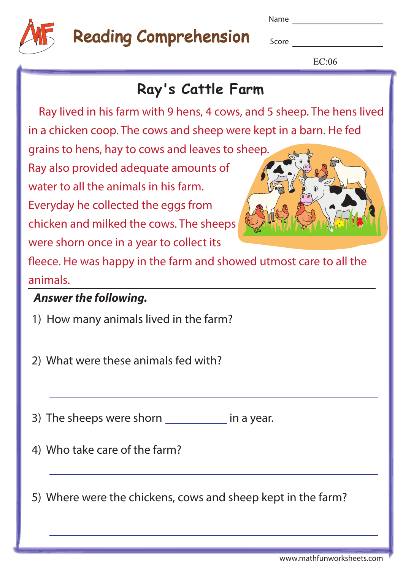

# Reading Comprehension

Name

**Score Score** 

 $EC:06$ 

### **Ray's Cattle Farm**

 Ray lived in his farm with 9 hens, 4 cows, and 5 sheep. The hens lived in a chicken coop. The cows and sheep were kept in a barn. He fed

grains to hens, hay to cows and leaves to sheep. Ray also provided adequate amounts of water to all the animals in his farm.

Everyday he collected the eggs from chicken and milked the cows. The sheeps were shorn once in a year to collect its



fleece. He was happy in the farm and showed utmost care to all the animals.

#### **Answer the following.**

1) How many animals lived in the farm?

2) What were these animals fed with?

3) The sheeps were shorn in a year.

4) Who take care of the farm?

5) Where were the chickens, cows and sheep kept in the farm?